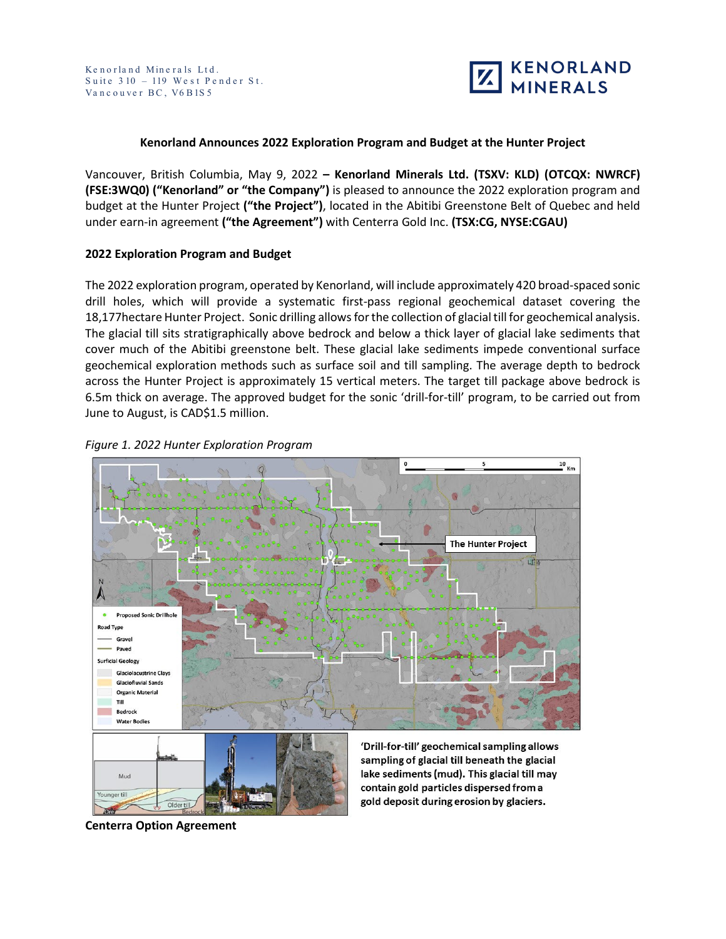

### **Kenorland Announces 2022 Exploration Program and Budget at the Hunter Project**

Vancouver, British Columbia, May 9, 2022 **– Kenorland Minerals Ltd. (TSXV: KLD) (OTCQX: NWRCF) (FSE:3WQ0) ("Kenorland" or "the Company")** is pleased to announce the 2022 exploration program and budget at the Hunter Project **("the Project")**, located in the Abitibi Greenstone Belt of Quebec and held under earn-in agreement **("the Agreement")** with Centerra Gold Inc. **(TSX:CG, NYSE:CGAU)**

#### **2022 Exploration Program and Budget**

The 2022 exploration program, operated by Kenorland, will include approximately 420 broad-spaced sonic drill holes, which will provide a systematic first-pass regional geochemical dataset covering the 18,177hectare Hunter Project. Sonic drilling allows for the collection of glacial till for geochemical analysis. The glacial till sits stratigraphically above bedrock and below a thick layer of glacial lake sediments that cover much of the Abitibi greenstone belt. These glacial lake sediments impede conventional surface geochemical exploration methods such as surface soil and till sampling. The average depth to bedrock across the Hunter Project is approximately 15 vertical meters. The target till package above bedrock is 6.5m thick on average. The approved budget for the sonic 'drill-for-till' program, to be carried out from June to August, is CAD\$1.5 million.





gold deposit during erosion by glaciers.

**Centerra Option Agreement**

Older till

Younger till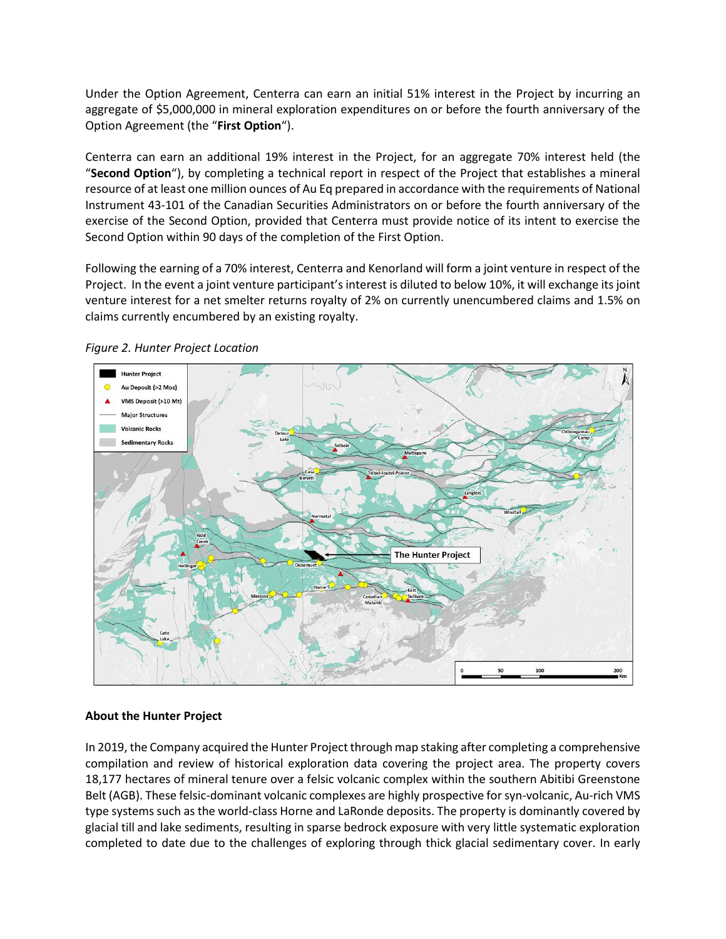Under the Option Agreement, Centerra can earn an initial 51% interest in the Project by incurring an aggregate of \$5,000,000 in mineral exploration expenditures on or before the fourth anniversary of the Option Agreement (the "**First Option**").

Centerra can earn an additional 19% interest in the Project, for an aggregate 70% interest held (the "**Second Option**"), by completing a technical report in respect of the Project that establishes a mineral resource of at least one million ounces of Au Eq prepared in accordance with the requirements of National Instrument 43-101 of the Canadian Securities Administrators on or before the fourth anniversary of the exercise of the Second Option, provided that Centerra must provide notice of its intent to exercise the Second Option within 90 days of the completion of the First Option.

Following the earning of a 70% interest, Centerra and Kenorland will form a joint venture in respect of the Project. In the event a joint venture participant's interest is diluted to below 10%, it will exchange its joint venture interest for a net smelter returns royalty of 2% on currently unencumbered claims and 1.5% on claims currently encumbered by an existing royalty.



*Figure 2. Hunter Project Location*

## **About the Hunter Project**

In 2019, the Company acquired the Hunter Project through map staking after completing a comprehensive compilation and review of historical exploration data covering the project area. The property covers 18,177 hectares of mineral tenure over a felsic volcanic complex within the southern Abitibi Greenstone Belt (AGB). These felsic-dominant volcanic complexes are highly prospective for syn-volcanic, Au-rich VMS type systems such as the world-class Horne and LaRonde deposits. The property is dominantly covered by glacial till and lake sediments, resulting in sparse bedrock exposure with very little systematic exploration completed to date due to the challenges of exploring through thick glacial sedimentary cover. In early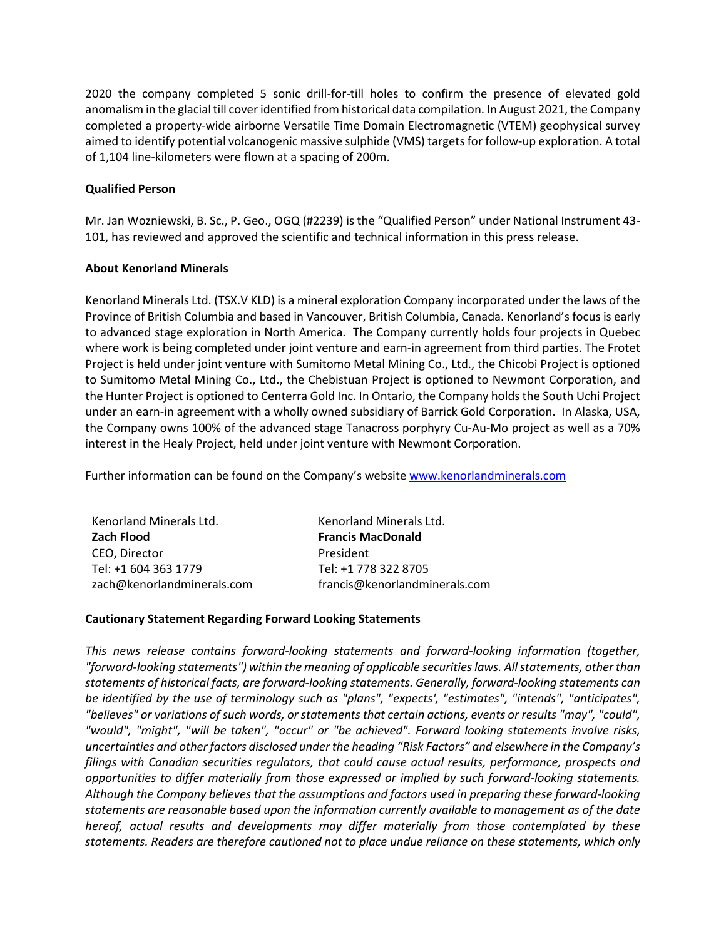2020 the company completed 5 sonic drill-for-till holes to confirm the presence of elevated gold anomalism in the glacial till cover identified from historical data compilation. In August 2021, the Company completed a property-wide airborne Versatile Time Domain Electromagnetic (VTEM) geophysical survey aimed to identify potential volcanogenic massive sulphide (VMS) targets for follow-up exploration. A total of 1,104 line-kilometers were flown at a spacing of 200m.

# **Qualified Person**

Mr. Jan Wozniewski, B. Sc., P. Geo., OGQ (#2239) is the "Qualified Person" under National Instrument 43- 101, has reviewed and approved the scientific and technical information in this press release.

## **About Kenorland Minerals**

Kenorland Minerals Ltd. (TSX.V KLD) is a mineral exploration Company incorporated under the laws of the Province of British Columbia and based in Vancouver, British Columbia, Canada. Kenorland's focus is early to advanced stage exploration in North America. The Company currently holds four projects in Quebec where work is being completed under joint venture and earn-in agreement from third parties. The Frotet Project is held under joint venture with Sumitomo Metal Mining Co., Ltd., the Chicobi Project is optioned to Sumitomo Metal Mining Co., Ltd., the Chebistuan Project is optioned to Newmont Corporation, and the Hunter Project is optioned to Centerra Gold Inc. In Ontario, the Company holds the South Uchi Project under an earn-in agreement with a wholly owned subsidiary of Barrick Gold Corporation. In Alaska, USA, the Company owns 100% of the advanced stage Tanacross porphyry Cu-Au-Mo project as well as a 70% interest in the Healy Project, held under joint venture with Newmont Corporation.

Further information can be found on the Company's website www.kenorlandminerals.com

| Kenorland Minerals Ltd.    | Kenorland Minerals Ltd.       |
|----------------------------|-------------------------------|
| <b>Zach Flood</b>          | <b>Francis MacDonald</b>      |
| CEO. Director              | President                     |
| Tel: +1 604 363 1779       | Tel: +1 778 322 8705          |
| zach@kenorlandminerals.com | francis@kenorlandminerals.com |

## **Cautionary Statement Regarding Forward Looking Statements**

*This news release contains forward-looking statements and forward-looking information (together, "forward-looking statements") within the meaning of applicable securities laws. All statements, other than statements of historical facts, are forward-looking statements. Generally, forward-looking statements can be identified by the use of terminology such as "plans", "expects', "estimates", "intends", "anticipates", "believes" or variations of such words, or statements that certain actions, events or results "may", "could", "would", "might", "will be taken", "occur" or "be achieved". Forward looking statements involve risks, uncertainties and other factors disclosed under the heading "Risk Factors" and elsewhere in the Company's filings with Canadian securities regulators, that could cause actual results, performance, prospects and opportunities to differ materially from those expressed or implied by such forward-looking statements. Although the Company believes that the assumptions and factors used in preparing these forward-looking statements are reasonable based upon the information currently available to management as of the date hereof, actual results and developments may differ materially from those contemplated by these statements. Readers are therefore cautioned not to place undue reliance on these statements, which only*